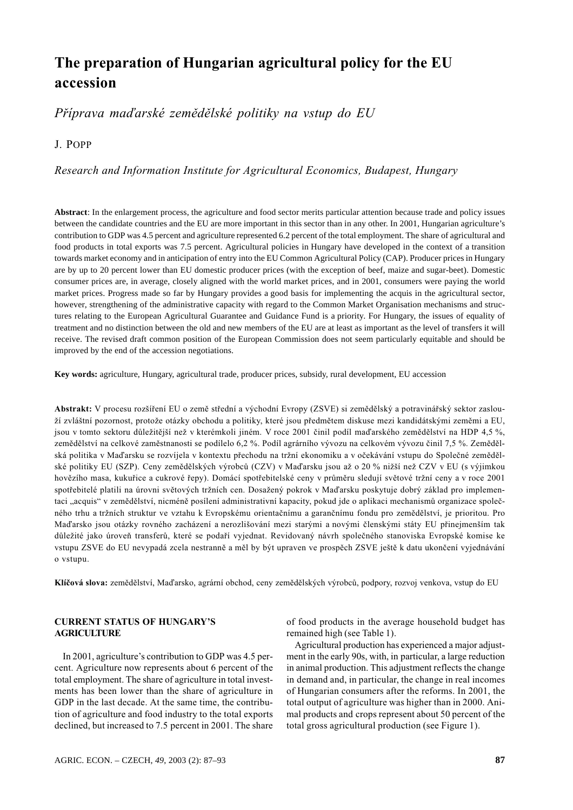# The preparation of Hungarian agricultural policy for the EU accession

Příprava maďarské zemědělské politiky na vstup do EU

I POPP

Research and Information Institute for Agricultural Economics, Budapest, Hungary

**Abstract**: In the enlargement process, the agriculture and food sector merits particular attention because trade and policy issues between the candidate countries and the EU are more important in this sector than in any other. In 2001, Hungarian agriculture's contribution to GDP was 4.5 percent and agriculture represented 6.2 percent of the total employment. The share of agricultural and food products in total exports was 7.5 percent. Agricultural policies in Hungary have developed in the context of a transition towards market economy and in anticipation of entry into the EU Common Agricultural Policy (CAP). Producer prices in Hungary are by up to 20 percent lower than EU domestic producer prices (with the exception of beef, maize and sugar-beet). Domestic consumer prices are, in average, closely aligned with the world market prices, and in 2001, consumers were paying the world market prices. Progress made so far by Hungary provides a good basis for implementing the acquis in the agricultural sector, however, strengthening of the administrative capacity with regard to the Common Market Organisation mechanisms and structures relating to the European Agricultural Guarantee and Guidance Fund is a priority. For Hungary, the issues of equality of treatment and no distinction between the old and new members of the EU are at least as important as the level of transfers it will receive. The revised draft common position of the European Commission does not seem particularly equitable and should be improved by the end of the accession negotiations.

**Key words:** agriculture, Hungary, agricultural trade, producer prices, subsidy, rural development, EU accession

Abstrakt: V procesu rozšíření EU o země střední a východní Evropy (ZSVE) si zemědělský a potravinářský sektor zaslouží zvláštní pozornost, protože otázky obchodu a politiky, které jsou předmětem diskuse mezi kandidátskými zeměmi a EU, jsou v tomto sektoru důležitější než v kterémkoli jiném. V roce 2001 činil podíl maďarského zemědělství na HDP 4,5 %, zemědělství na celkové zaměstnanosti se podílelo 6,2 %. Podíl agrárního vývozu na celkovém vývozu činil 7,5 %. Zemědělská politika v Maďarsku se rozvíjela v kontextu přechodu na tržní ekonomiku a v očekávání vstupu do Společné zemědělské politiky EU (SZP). Ceny zemědělských výrobců (CZV) v Maďarsku jsou až o 20 % nižší než CZV v EU (s výjimkou hovězího masa, kukuřice a cukrové řepy). Domácí spotřebitelské ceny v průměru sledují světové tržní ceny a v roce 2001 spotřebitelé platili na úrovni světových tržních cen. Dosažený pokrok v Maďarsku poskytuje dobrý základ pro implementaci "acquis" v zemědělství, nicméně posílení administrativní kapacity, pokud jde o aplikaci mechanismů organizace společného trhu a tržních struktur ve vztahu k Evropskému orientačnímu a garančnímu fondu pro zemědělství, je prioritou. Pro Maďarsko jsou otázky rovného zacházení a nerozlišování mezi starými a novými členskými státy EU přinejmenším tak důležité jako úroveň transferů, které se podaří vyjednat. Revidovaný návrh společného stanoviska Evropské komise ke vstupu ZSVE do EU nevypadá zcela nestranně a měl by být upraven ve prospěch ZSVE ještě k datu ukončení vyjednávání o vstupu.

Klíčová slova: zemědělství, Maďarsko, agrární obchod, ceny zemědělských výrobců, podpory, rozvoj venkova, vstup do EU

# CURRENT STATUS OF HUNGARY'S **AGRICULTURE**

In 2001, agriculture's contribution to GDP was 4.5 percent. Agriculture now represents about 6 percent of the total employment. The share of agriculture in total investments has been lower than the share of agriculture in GDP in the last decade. At the same time, the contribution of agriculture and food industry to the total exports declined, but increased to 7.5 percent in 2001. The share of food products in the average household budget has remained high (see Table 1).

Agricultural production has experienced a major adjustment in the early 90s, with, in particular, a large reduction in animal production. This adjustment reflects the change in demand and, in particular, the change in real incomes of Hungarian consumers after the reforms. In 2001, the total output of agriculture was higher than in 2000. Animal products and crops represent about 50 percent of the total gross agricultural production (see Figure 1).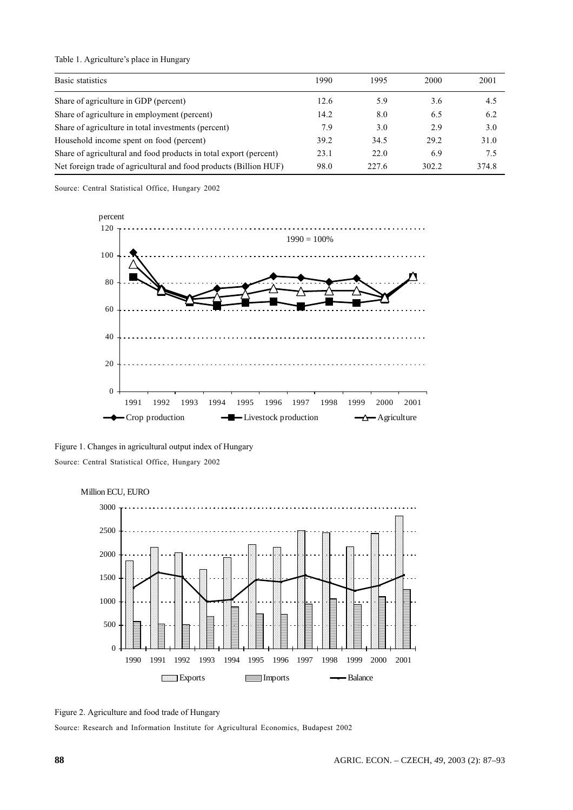# Table 1. Agriculture's place in Hungary

| Basic statistics                                                  | 1990 | 1995  | 2000  | 2001  |
|-------------------------------------------------------------------|------|-------|-------|-------|
| Share of agriculture in GDP (percent)                             | 12.6 | 5.9   | 3.6   | 4.5   |
| Share of agriculture in employment (percent)                      | 14.2 | 8.0   | 6.5   | 6.2   |
| Share of agriculture in total investments (percent)               | 7.9  | 3.0   | 2.9   | 3.0   |
| Household income spent on food (percent)                          | 39.2 | 34.5  | 29.2  | 31.0  |
| Share of agricultural and food products in total export (percent) | 23.1 | 22.0  | 6.9   | 7.5   |
| Net foreign trade of agricultural and food products (Billion HUF) | 98.0 | 227.6 | 302.2 | 374.8 |

Source: Central Statistical Office, Hungary 2002



Figure 1. Changes in agricultural output index of Hungary Source: Central Statistical Office, Hungary 2002



Figure 2. Agriculture and food trade of Hungary

Source: Research and Information Institute for Agricultural Economics, Budapest 2002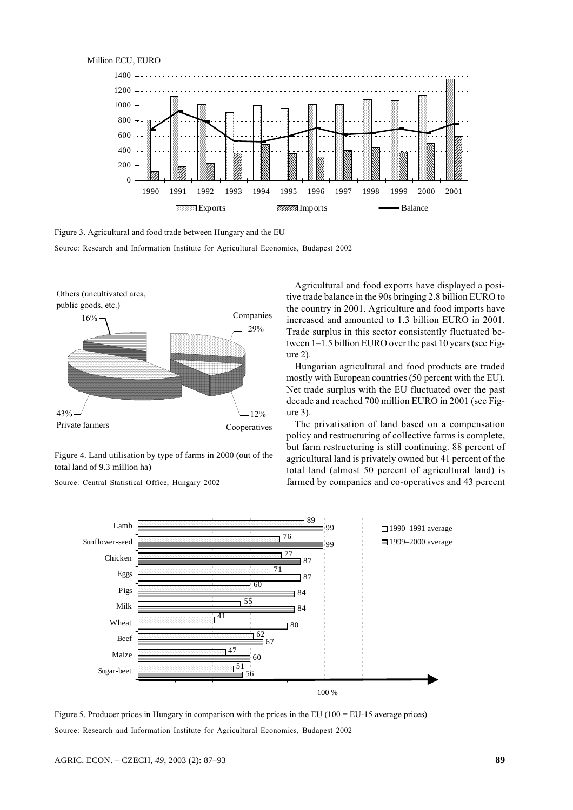

Figure 3. Agricultural and food trade between Hungary and the EU

Source: Research and Information Institute for Agricultural Economics, Budapest 2002



Figure 4. Land utilisation by type of farms in 2000 (out of the total land of 9.3 million ha)

Source: Central Statistical Office, Hungary 2002

Agricultural and food exports have displayed a positive trade balance in the 90s bringing 2.8 billion EURO to the country in 2001. Agriculture and food imports have increased and amounted to 1.3 billion EURO in 2001. Trade surplus in this sector consistently fluctuated between  $1-1.5$  billion EURO over the past 10 years (see Fig $ure 2).$ 

Hungarian agricultural and food products are traded mostly with European countries (50 percent with the EU). Net trade surplus with the EU fluctuated over the past decade and reached 700 million EURO in 2001 (see Fig $ure 3).$ 

The privatisation of land based on a compensation policy and restructuring of collective farms is complete, but farm restructuring is still continuing. 88 percent of agricultural land is privately owned but 41 percent of the total land (almost 50 percent of agricultural land) is farmed by companies and co-operatives and 43 percent



Figure 5. Producer prices in Hungary in comparison with the prices in the EU  $(100 = EU - 15)$  average prices) Source: Research and Information Institute for Agricultural Economics, Budapest 2002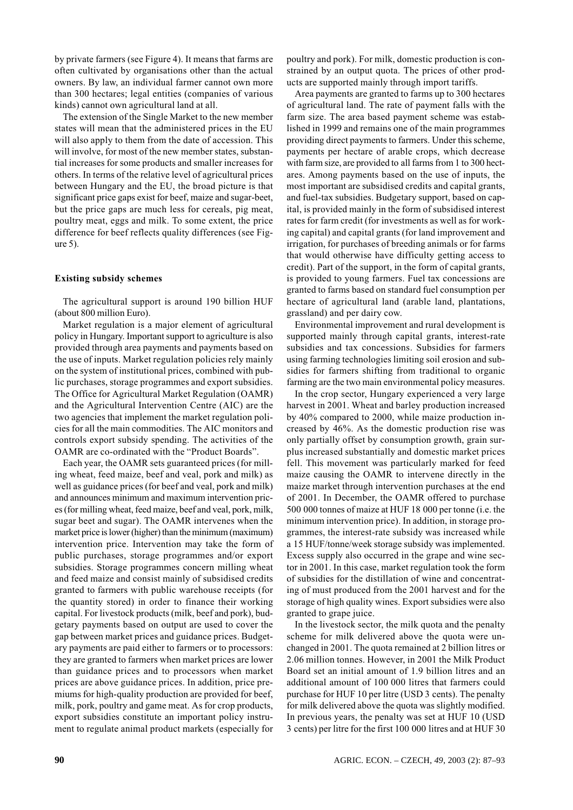by private farmers (see Figure 4). It means that farms are often cultivated by organisations other than the actual owners. By law, an individual farmer cannot own more than 300 hectares: legal entities (companies of various kinds) cannot own agricultural land at all.

The extension of the Single Market to the new member states will mean that the administered prices in the EU will also apply to them from the date of accession. This will involve, for most of the new member states, substantial increases for some products and smaller increases for others. In terms of the relative level of agricultural prices between Hungary and the EU, the broad picture is that significant price gaps exist for beef, maize and sugar-beet. but the price gaps are much less for cereals, pig meat, poultry meat, eggs and milk. To some extent, the price difference for beef reflects quality differences (see Fig $ure 5)$ .

## **Existing subsidy schemes**

The agricultural support is around 190 billion HUF (about 800 million Euro).

Market regulation is a major element of agricultural policy in Hungary. Important support to agriculture is also provided through area payments and payments based on the use of inputs. Market regulation policies rely mainly on the system of institutional prices, combined with public purchases, storage programmes and export subsidies. The Office for Agricultural Market Regulation (OAMR) and the Agricultural Intervention Centre (AIC) are the two agencies that implement the market regulation policies for all the main commodities. The AIC monitors and controls export subsidy spending. The activities of the OAMR are co-ordinated with the "Product Boards".

Each year, the OAMR sets guaranteed prices (for milling wheat, feed maize, beef and veal, pork and milk) as well as guidance prices (for beef and veal, pork and milk) and announces minimum and maximum intervention prices (for milling wheat, feed maize, beef and veal, pork, milk, sugar beet and sugar). The OAMR intervenes when the market price is lower (higher) than the minimum (maximum) intervention price. Intervention may take the form of public purchases, storage programmes and/or export subsidies. Storage programmes concern milling wheat and feed maize and consist mainly of subsidised credits granted to farmers with public warehouse receipts (for the quantity stored) in order to finance their working capital. For livestock products (milk, beef and pork), budgetary payments based on output are used to cover the gap between market prices and guidance prices. Budgetary payments are paid either to farmers or to processors: they are granted to farmers when market prices are lower than guidance prices and to processors when market prices are above guidance prices. In addition, price premiums for high-quality production are provided for beef, milk, pork, poultry and game meat. As for crop products, export subsidies constitute an important policy instrument to regulate animal product markets (especially for poultry and pork). For milk, domestic production is constrained by an output quota. The prices of other products are supported mainly through import tariffs.

Area payments are granted to farms up to 300 hectares of agricultural land. The rate of payment falls with the farm size. The area based payment scheme was established in 1999 and remains one of the main programmes providing direct payments to farmers. Under this scheme, payments per hectare of arable crops, which decrease with farm size, are provided to all farms from 1 to 300 hectares. Among payments based on the use of inputs, the most important are subsidised credits and capital grants, and fuel-tax subsidies. Budgetary support, based on capital, is provided mainly in the form of subsidised interest rates for farm credit (for investments as well as for working capital) and capital grants (for land improvement and irrigation, for purchases of breeding animals or for farms that would otherwise have difficulty getting access to credit). Part of the support, in the form of capital grants, is provided to young farmers. Fuel tax concessions are granted to farms based on standard fuel consumption per hectare of agricultural land (arable land, plantations, grassland) and per dairy cow.

Environmental improvement and rural development is supported mainly through capital grants, interest-rate subsidies and tax concessions. Subsidies for farmers using farming technologies limiting soil erosion and subsidies for farmers shifting from traditional to organic farming are the two main environmental policy measures.

In the crop sector, Hungary experienced a very large harvest in 2001. Wheat and barley production increased by 40% compared to 2000, while maize production increased by 46%. As the domestic production rise was only partially offset by consumption growth, grain surplus increased substantially and domestic market prices fell. This movement was particularly marked for feed maize causing the OAMR to intervene directly in the maize market through intervention purchases at the end of 2001. In December, the OAMR offered to purchase 500 000 tonnes of maize at HUF 18 000 per tonne (i.e. the minimum intervention price). In addition, in storage programmes, the interest-rate subsidy was increased while a 15 HUF/tonne/week storage subsidy was implemented. Excess supply also occurred in the grape and wine sector in 2001. In this case, market regulation took the form of subsidies for the distillation of wine and concentrating of must produced from the 2001 harvest and for the storage of high quality wines. Export subsidies were also granted to grape juice.

In the livestock sector, the milk quota and the penalty scheme for milk delivered above the quota were unchanged in 2001. The quota remained at 2 billion litres or 2.06 million tonnes. However, in 2001 the Milk Product Board set an initial amount of 1.9 billion litres and an additional amount of 100 000 litres that farmers could purchase for HUF 10 per litre (USD 3 cents). The penalty for milk delivered above the quota was slightly modified. In previous years, the penalty was set at HUF 10 (USD) 3 cents) per litre for the first 100 000 litres and at HUF 30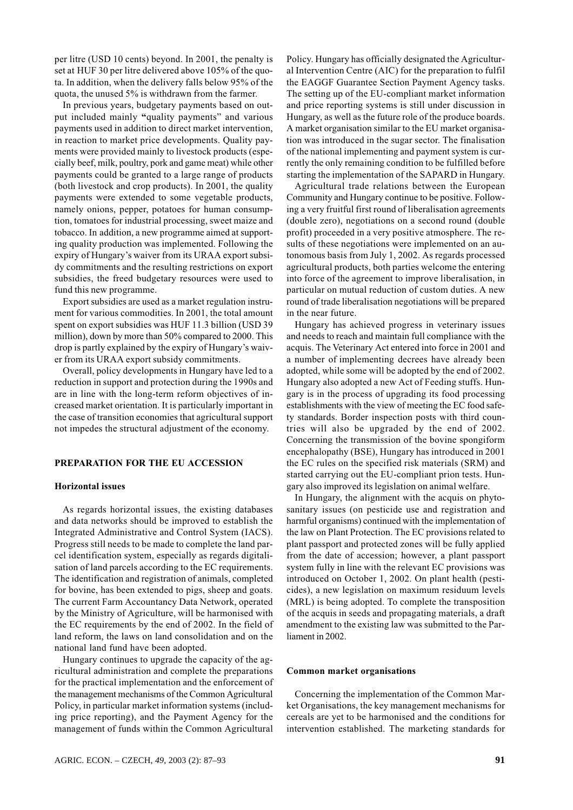per litre (USD 10 cents) beyond. In 2001, the penalty is set at HUF 30 per litre delivered above 105% of the quota. In addition, when the delivery falls below 95% of the quota, the unused 5% is withdrawn from the farmer.

In previous vears, budgetary payments based on output included mainly "quality payments" and various payments used in addition to direct market intervention, in reaction to market price developments. Quality payments were provided mainly to livestock products (especially beef, milk, poultry, pork and game meat) while other payments could be granted to a large range of products (both livestock and crop products). In 2001, the quality payments were extended to some vegetable products. namely onions, pepper, potatoes for human consumption, tomatoes for industrial processing, sweet maize and tobacco. In addition, a new programme aimed at supporting quality production was implemented. Following the expiry of Hungary's waiver from its URAA export subsidy commitments and the resulting restrictions on export subsidies, the freed budgetary resources were used to fund this new programme.

Export subsidies are used as a market regulation instrument for various commodities. In 2001, the total amount spent on export subsidies was HUF 11.3 billion (USD 39) million), down by more than 50% compared to 2000. This drop is partly explained by the expiry of Hungary's waiver from its URAA export subsidy commitments.

Overall, policy developments in Hungary have led to a reduction in support and protection during the 1990s and are in line with the long-term reform objectives of increased market orientation. It is particularly important in the case of transition economies that agricultural support not impedes the structural adjustment of the economy.

# PREPARATION FOR THE EU ACCESSION

## **Horizontal issues**

As regards horizontal issues, the existing databases and data networks should be improved to establish the Integrated Administrative and Control System (IACS). Progress still needs to be made to complete the land parcel identification system, especially as regards digitalisation of land parcels according to the EC requirements. The identification and registration of animals, completed for bovine, has been extended to pigs, sheep and goats. The current Farm Accountancy Data Network, operated by the Ministry of Agriculture, will be harmonised with the EC requirements by the end of 2002. In the field of land reform, the laws on land consolidation and on the national land fund have been adopted.

Hungary continues to upgrade the capacity of the agricultural administration and complete the preparations for the practical implementation and the enforcement of the management mechanisms of the Common Agricultural Policy, in particular market information systems (including price reporting), and the Payment Agency for the management of funds within the Common Agricultural

Policy. Hungary has officially designated the Agricultural Intervention Centre (AIC) for the preparation to fulfil the EAGGF Guarantee Section Payment Agency tasks. The setting up of the EU-compliant market information and price reporting systems is still under discussion in Hungary, as well as the future role of the produce boards. A market organisation similar to the EU market organisation was introduced in the sugar sector. The finalisation of the national implementing and payment system is currently the only remaining condition to be fulfilled before starting the implementation of the SAPARD in Hungary.

Agricultural trade relations between the European Community and Hungary continue to be positive. Following a very fruitful first round of liberalisation agreements (double zero), negotiations on a second round (double profit) proceeded in a very positive atmosphere. The results of these negotiations were implemented on an autonomous basis from July 1, 2002. As regards processed agricultural products, both parties welcome the entering into force of the agreement to improve liberalisation, in particular on mutual reduction of custom duties. A new round of trade liberalisation negotiations will be prepared in the near future.

Hungary has achieved progress in veterinary issues and needs to reach and maintain full compliance with the acquis. The Veterinary Act entered into force in 2001 and a number of implementing decrees have already been adopted, while some will be adopted by the end of 2002. Hungary also adopted a new Act of Feeding stuffs. Hungary is in the process of upgrading its food processing establishments with the view of meeting the EC food safety standards. Border inspection posts with third countries will also be upgraded by the end of 2002. Concerning the transmission of the bovine spongiform encephalopathy (BSE), Hungary has introduced in 2001 the EC rules on the specified risk materials (SRM) and started carrying out the EU-compliant prion tests. Hungary also improved its legislation on animal welfare.

In Hungary, the alignment with the acquis on phytosanitary issues (on pesticide use and registration and harmful organisms) continued with the implementation of the law on Plant Protection. The EC provisions related to plant passport and protected zones will be fully applied from the date of accession; however, a plant passport system fully in line with the relevant EC provisions was introduced on October 1, 2002. On plant health (pesticides), a new legislation on maximum residuum levels (MRL) is being adopted. To complete the transposition of the acquis in seeds and propagating materials, a draft amendment to the existing law was submitted to the Parliament in 2002.

#### **Common market organisations**

Concerning the implementation of the Common Market Organisations, the key management mechanisms for cereals are yet to be harmonised and the conditions for intervention established. The marketing standards for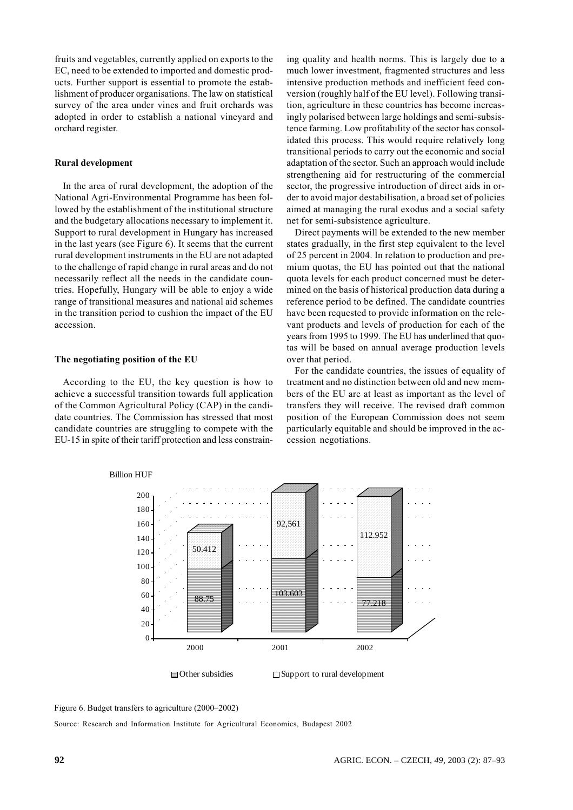fruits and vegetables, currently applied on exports to the EC, need to be extended to imported and domestic products. Further support is essential to promote the establishment of producer organisations. The law on statistical survey of the area under vines and fruit orchards was adopted in order to establish a national vineyard and orchard register.

## **Rural development**

In the area of rural development, the adoption of the National Agri-Environmental Programme has been followed by the establishment of the institutional structure and the budgetary allocations necessary to implement it. Support to rural development in Hungary has increased in the last years (see Figure 6). It seems that the current rural development instruments in the EU are not adapted to the challenge of rapid change in rural areas and do not necessarily reflect all the needs in the candidate countries. Hopefully, Hungary will be able to enjoy a wide range of transitional measures and national aid schemes in the transition period to cushion the impact of the EU accession.

### The negotiating position of the EU

According to the EU, the key question is how to achieve a successful transition towards full application of the Common Agricultural Policy (CAP) in the candidate countries. The Commission has stressed that most candidate countries are struggling to compete with the EU-15 in spite of their tariff protection and less constraining quality and health norms. This is largely due to a much lower investment, fragmented structures and less intensive production methods and inefficient feed conversion (roughly half of the EU level). Following transition, agriculture in these countries has become increasingly polarised between large holdings and semi-subsistence farming. Low profitability of the sector has consolidated this process. This would require relatively long transitional periods to carry out the economic and social adaptation of the sector. Such an approach would include strengthening aid for restructuring of the commercial sector, the progressive introduction of direct aids in order to avoid major destabilisation, a broad set of policies aimed at managing the rural exodus and a social safety net for semi-subsistence agriculture.

Direct payments will be extended to the new member states gradually, in the first step equivalent to the level of 25 percent in 2004. In relation to production and premium quotas, the EU has pointed out that the national quota levels for each product concerned must be determined on the basis of historical production data during a reference period to be defined. The candidate countries have been requested to provide information on the relevant products and levels of production for each of the years from 1995 to 1999. The EU has underlined that quotas will be based on annual average production levels over that period.

For the candidate countries, the issues of equality of treatment and no distinction between old and new members of the EU are at least as important as the level of transfers they will receive. The revised draft common position of the European Commission does not seem particularly equitable and should be improved in the accession negotiations.



Figure 6. Budget transfers to agriculture (2000–2002)

Source: Research and Information Institute for Agricultural Economics, Budapest 2002